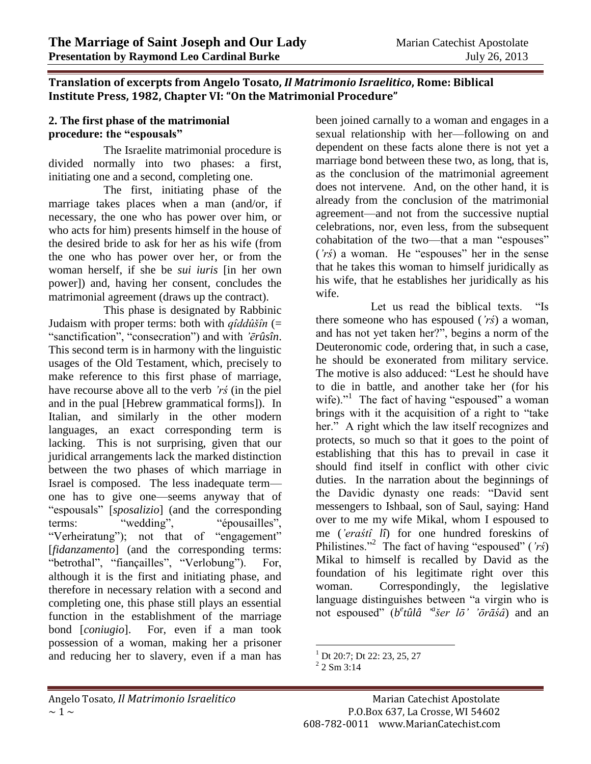## **Translation of excerpts from Angelo Tosato,** *Il Matrimonio Israelitico***, Rome: Biblical Institute Press, 1982, Chapter VI: "On the Matrimonial Procedure"**

## **2. The first phase of the matrimonial procedure: the "espousals"**

The Israelite matrimonial procedure is divided normally into two phases: a first, initiating one and a second, completing one.

The first, initiating phase of the marriage takes places when a man (and/or, if necessary, the one who has power over him, or who acts for him) presents himself in the house of the desired bride to ask for her as his wife (from the one who has power over her, or from the woman herself, if she be *sui iuris* [in her own power]) and, having her consent, concludes the matrimonial agreement (draws up the contract).

This phase is designated by Rabbinic Judaism with proper terms: both with *qîddûšîn* (= "sanctification", "consecration") and with *'ērûsîn*. This second term is in harmony with the linguistic usages of the Old Testament, which, precisely to make reference to this first phase of marriage, have recourse above all to the verb *'rś* (in the piel and in the pual [Hebrew grammatical forms]). In Italian, and similarly in the other modern languages, an exact corresponding term is lacking. This is not surprising, given that our juridical arrangements lack the marked distinction between the two phases of which marriage in Israel is composed. The less inadequate term one has to give one—seems anyway that of "espousals" [*sposalizio*] (and the corresponding terms: "wedding", ""espousailles", terms: "wedding", "épousailles", "Verheiratung"); not that of "engagement" [*fidanzamento*] (and the corresponding terms: "betrothal", "fiançailles", "Verlobung"). For, although it is the first and initiating phase, and therefore in necessary relation with a second and completing one, this phase still plays an essential function in the establishment of the marriage bond [*coniugio*]. For, even if a man took possession of a woman, making her a prisoner and reducing her to slavery, even if a man has

been joined carnally to a woman and engages in a sexual relationship with her—following on and dependent on these facts alone there is not yet a marriage bond between these two, as long, that is, as the conclusion of the matrimonial agreement does not intervene. And, on the other hand, it is already from the conclusion of the matrimonial agreement—and not from the successive nuptial celebrations, nor, even less, from the subsequent cohabitation of the two—that a man "espouses" (*'rś*) a woman. He "espouses" her in the sense that he takes this woman to himself juridically as his wife, that he establishes her juridically as his wife.

Let us read the biblical texts. "Is there someone who has espoused (*'rś*) a woman, and has not yet taken her?", begins a norm of the Deuteronomic code, ordering that, in such a case, he should be exonerated from military service. The motive is also adduced: "Lest he should have to die in battle, and another take her (for his wife)."<sup>1</sup> The fact of having "espoused" a woman brings with it the acquisition of a right to "take her." A right which the law itself recognizes and protects, so much so that it goes to the point of establishing that this has to prevail in case it should find itself in conflict with other civic duties. In the narration about the beginnings of the Davidic dynasty one reads: "David sent messengers to Ishbaal, son of Saul, saying: Hand over to me my wife Mikal, whom I espoused to me (*'eraśtî lî*) for one hundred foreskins of Philistines."<sup>2</sup> The fact of having "espoused" (*'rś*) Mikal to himself is recalled by David as the foundation of his legitimate right over this woman. Correspondingly, the legislative language distinguishes between "a virgin who is not espoused" (*b e tûlâ ' a šer lō' 'ōrāśâ*) and an

 $\overline{a}$  $^{1}$  Dt 20:7: Dt 22: 23, 25, 27

 $2$  2 Sm 3:14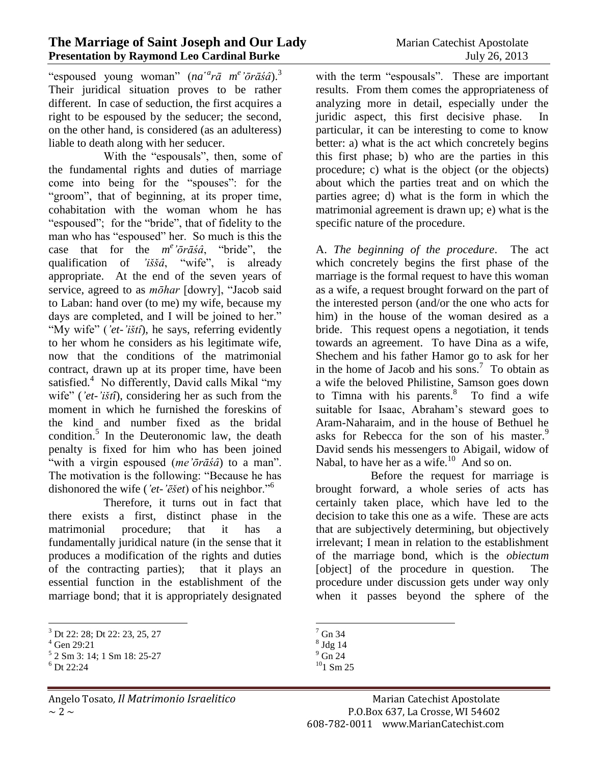"espoused young woman" (*na*<sup>*a*</sup>rā *m*<sup>e</sup> 'ōrāśâ).<sup>3</sup> Their juridical situation proves to be rather different. In case of seduction, the first acquires a right to be espoused by the seducer; the second, on the other hand, is considered (as an adulteress) liable to death along with her seducer.

With the "espousals", then, some of the fundamental rights and duties of marriage come into being for the "spouses": for the "groom", that of beginning, at its proper time, cohabitation with the woman whom he has "espoused"; for the "bride", that of fidelity to the man who has "espoused" her. So much is this the case that for the *m e 'ōrāśâ*, "bride", the qualification of *'iššâ*, "wife", is already appropriate. At the end of the seven years of service, agreed to as *mōhar* [dowry], "Jacob said to Laban: hand over (to me) my wife, because my days are completed, and I will be joined to her." "My wife" (*'et*-*'ištî*), he says, referring evidently to her whom he considers as his legitimate wife, now that the conditions of the matrimonial contract, drawn up at its proper time, have been satisfied.<sup>4</sup> No differently, David calls Mikal "my wife" (*'et-'ištî*), considering her as such from the moment in which he furnished the foreskins of the kind and number fixed as the bridal condition.<sup>5</sup> In the Deuteronomic law, the death penalty is fixed for him who has been joined "with a virgin espoused (*me'ōrāśâ*) to a man". The motivation is the following: "Because he has dishonored the wife (*'et*-*'ēšet*) of his neighbor."<sup>6</sup>

Therefore, it turns out in fact that there exists a first, distinct phase in the matrimonial procedure; that it has a fundamentally juridical nature (in the sense that it produces a modification of the rights and duties of the contracting parties); that it plays an essential function in the establishment of the marriage bond; that it is appropriately designated

 $\overline{a}$ 

with the term "espousals". These are important results. From them comes the appropriateness of analyzing more in detail, especially under the juridic aspect, this first decisive phase. In particular, it can be interesting to come to know better: a) what is the act which concretely begins this first phase; b) who are the parties in this procedure; c) what is the object (or the objects) about which the parties treat and on which the parties agree; d) what is the form in which the matrimonial agreement is drawn up; e) what is the specific nature of the procedure.

A. *The beginning of the procedure*. The act which concretely begins the first phase of the marriage is the formal request to have this woman as a wife, a request brought forward on the part of the interested person (and/or the one who acts for him) in the house of the woman desired as a bride. This request opens a negotiation, it tends towards an agreement. To have Dina as a wife, Shechem and his father Hamor go to ask for her in the home of Jacob and his sons.<sup>7</sup> To obtain as a wife the beloved Philistine, Samson goes down to Timna with his parents. $8\degree$  To find a wife suitable for Isaac, Abraham's steward goes to Aram-Naharaim, and in the house of Bethuel he asks for Rebecca for the son of his master.<sup>9</sup> David sends his messengers to Abigail, widow of Nabal, to have her as a wife. $10$  And so on.

Before the request for marriage is brought forward, a whole series of acts has certainly taken place, which have led to the decision to take this one as a wife. These are acts that are subjectively determining, but objectively irrelevant; I mean in relation to the establishment of the marriage bond, which is the *obiectum* [object] of the procedure in question. The procedure under discussion gets under way only when it passes beyond the sphere of the

<sup>3</sup> Dt 22: 28; Dt 22: 23, 25, 27

 $4$  Gen 29:21

<sup>5</sup> 2 Sm 3: 14; 1 Sm 18: 25-27

 $6$  Dt 22:24

 $\overline{a}$  $<sup>7</sup>$  Gn 34</sup>

<sup>8</sup> Jdg 14

 $\degree$  Gn 24

 $10$ 1 Sm 25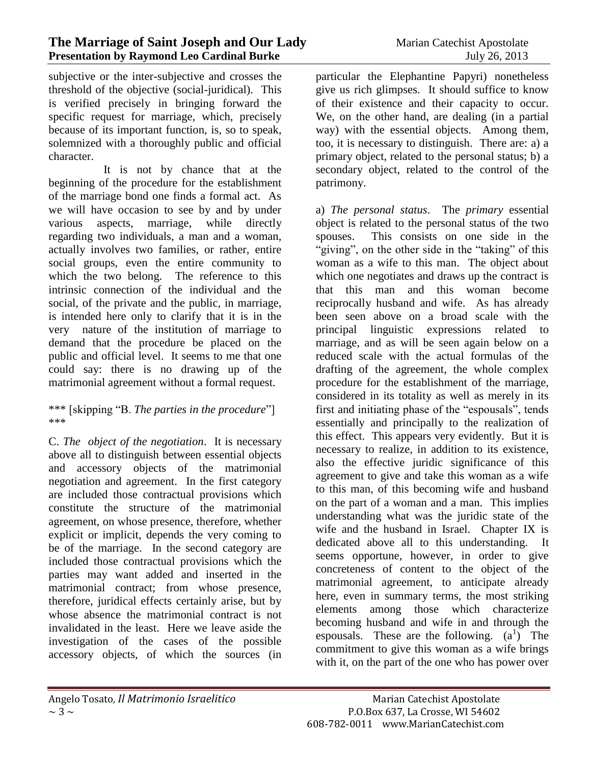subjective or the inter-subjective and crosses the threshold of the objective (social-juridical). This is verified precisely in bringing forward the specific request for marriage, which, precisely because of its important function, is, so to speak, solemnized with a thoroughly public and official character.

It is not by chance that at the beginning of the procedure for the establishment of the marriage bond one finds a formal act. As we will have occasion to see by and by under various aspects, marriage, while directly regarding two individuals, a man and a woman, actually involves two families, or rather, entire social groups, even the entire community to which the two belong. The reference to this intrinsic connection of the individual and the social, of the private and the public, in marriage, is intended here only to clarify that it is in the very nature of the institution of marriage to demand that the procedure be placed on the public and official level. It seems to me that one could say: there is no drawing up of the matrimonial agreement without a formal request.

\*\*\* [skipping "B. *The parties in the procedure*"] \*\*\*

C. *The object of the negotiation*. It is necessary above all to distinguish between essential objects and accessory objects of the matrimonial negotiation and agreement. In the first category are included those contractual provisions which constitute the structure of the matrimonial agreement, on whose presence, therefore, whether explicit or implicit, depends the very coming to be of the marriage. In the second category are included those contractual provisions which the parties may want added and inserted in the matrimonial contract; from whose presence, therefore, juridical effects certainly arise, but by whose absence the matrimonial contract is not invalidated in the least. Here we leave aside the investigation of the cases of the possible accessory objects, of which the sources (in

particular the Elephantine Papyri) nonetheless give us rich glimpses. It should suffice to know of their existence and their capacity to occur. We, on the other hand, are dealing (in a partial way) with the essential objects. Among them, too, it is necessary to distinguish. There are: a) a primary object, related to the personal status; b) a secondary object, related to the control of the patrimony.

a) *The personal status*. The *primary* essential object is related to the personal status of the two spouses. This consists on one side in the "giving", on the other side in the "taking" of this woman as a wife to this man. The object about which one negotiates and draws up the contract is that this man and this woman become reciprocally husband and wife. As has already been seen above on a broad scale with the principal linguistic expressions related to marriage, and as will be seen again below on a reduced scale with the actual formulas of the drafting of the agreement, the whole complex procedure for the establishment of the marriage, considered in its totality as well as merely in its first and initiating phase of the "espousals", tends essentially and principally to the realization of this effect. This appears very evidently. But it is necessary to realize, in addition to its existence, also the effective juridic significance of this agreement to give and take this woman as a wife to this man, of this becoming wife and husband on the part of a woman and a man. This implies understanding what was the juridic state of the wife and the husband in Israel. Chapter IX is dedicated above all to this understanding. It seems opportune, however, in order to give concreteness of content to the object of the matrimonial agreement, to anticipate already here, even in summary terms, the most striking elements among those which characterize becoming husband and wife in and through the espousals. These are the following.  $(a^1)$  The commitment to give this woman as a wife brings with it, on the part of the one who has power over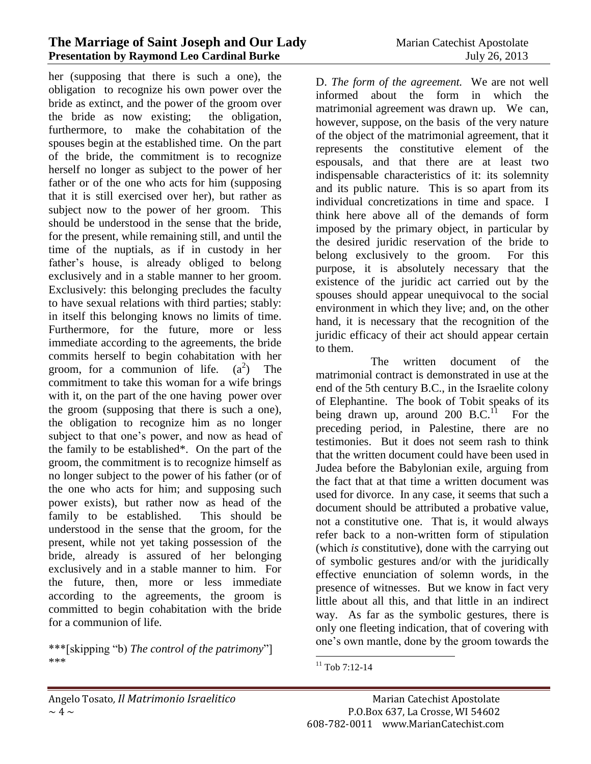her (supposing that there is such a one), the obligation to recognize his own power over the bride as extinct, and the power of the groom over the bride as now existing; the obligation, furthermore, to make the cohabitation of the spouses begin at the established time. On the part of the bride, the commitment is to recognize herself no longer as subject to the power of her father or of the one who acts for him (supposing that it is still exercised over her), but rather as subject now to the power of her groom. This should be understood in the sense that the bride, for the present, while remaining still, and until the time of the nuptials, as if in custody in her father's house, is already obliged to belong exclusively and in a stable manner to her groom. Exclusively: this belonging precludes the faculty to have sexual relations with third parties; stably: in itself this belonging knows no limits of time. Furthermore, for the future, more or less immediate according to the agreements, the bride commits herself to begin cohabitation with her groom, for a communion of life.  $(a^2)$  The commitment to take this woman for a wife brings with it, on the part of the one having power over the groom (supposing that there is such a one), the obligation to recognize him as no longer subject to that one's power, and now as head of the family to be established\*. On the part of the groom, the commitment is to recognize himself as no longer subject to the power of his father (or of the one who acts for him; and supposing such power exists), but rather now as head of the family to be established. This should be understood in the sense that the groom, for the present, while not yet taking possession of the bride, already is assured of her belonging exclusively and in a stable manner to him. For the future, then, more or less immediate according to the agreements, the groom is committed to begin cohabitation with the bride for a communion of life.

\*\*\*[skipping "b) *The control of the patrimony*"] \*\*\*

D. *The form of the agreement.* We are not well informed about the form in which the matrimonial agreement was drawn up. We can, however, suppose, on the basis of the very nature of the object of the matrimonial agreement, that it represents the constitutive element of the espousals, and that there are at least two indispensable characteristics of it: its solemnity and its public nature. This is so apart from its individual concretizations in time and space. I think here above all of the demands of form imposed by the primary object, in particular by the desired juridic reservation of the bride to belong exclusively to the groom. For this purpose, it is absolutely necessary that the existence of the juridic act carried out by the spouses should appear unequivocal to the social environment in which they live; and, on the other hand, it is necessary that the recognition of the juridic efficacy of their act should appear certain to them.

The written document of the matrimonial contract is demonstrated in use at the end of the 5th century B.C., in the Israelite colony of Elephantine. The book of Tobit speaks of its being drawn up, around  $200$  B.C.<sup>11</sup> For the preceding period, in Palestine, there are no testimonies. But it does not seem rash to think that the written document could have been used in Judea before the Babylonian exile, arguing from the fact that at that time a written document was used for divorce. In any case, it seems that such a document should be attributed a probative value, not a constitutive one. That is, it would always refer back to a non-written form of stipulation (which *is* constitutive), done with the carrying out of symbolic gestures and/or with the juridically effective enunciation of solemn words, in the presence of witnesses. But we know in fact very little about all this, and that little in an indirect way. As far as the symbolic gestures, there is only one fleeting indication, that of covering with one's own mantle, done by the groom towards the

 $\overline{a}$  $11$  Tob 7:12-14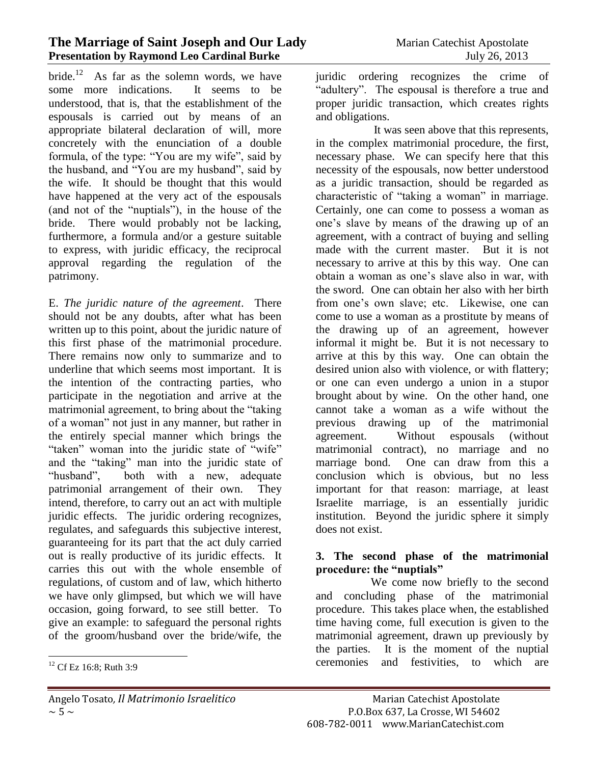## **The Marriage of Saint Joseph and Our Lady** Marian Catechist Apostolate **Presentation by Raymond Leo Cardinal Burke** July 26, 2013

bride.<sup>12</sup> As far as the solemn words, we have some more indications. It seems to be understood, that is, that the establishment of the espousals is carried out by means of an appropriate bilateral declaration of will, more concretely with the enunciation of a double formula, of the type: "You are my wife", said by the husband, and "You are my husband", said by the wife. It should be thought that this would have happened at the very act of the espousals (and not of the "nuptials"), in the house of the bride. There would probably not be lacking, furthermore, a formula and/or a gesture suitable to express, with juridic efficacy, the reciprocal approval regarding the regulation of the patrimony.

E. *The juridic nature of the agreement*. There should not be any doubts, after what has been written up to this point, about the juridic nature of this first phase of the matrimonial procedure. There remains now only to summarize and to underline that which seems most important. It is the intention of the contracting parties, who participate in the negotiation and arrive at the matrimonial agreement, to bring about the "taking of a woman" not just in any manner, but rather in the entirely special manner which brings the "taken" woman into the juridic state of "wife" and the "taking" man into the juridic state of "husband", both with a new, adequate patrimonial arrangement of their own. They intend, therefore, to carry out an act with multiple juridic effects. The juridic ordering recognizes, regulates, and safeguards this subjective interest, guaranteeing for its part that the act duly carried out is really productive of its juridic effects. It carries this out with the whole ensemble of regulations, of custom and of law, which hitherto we have only glimpsed, but which we will have occasion, going forward, to see still better. To give an example: to safeguard the personal rights of the groom/husband over the bride/wife, the

 $\overline{a}$ 

juridic ordering recognizes the crime of "adultery". The espousal is therefore a true and proper juridic transaction, which creates rights and obligations.

It was seen above that this represents, in the complex matrimonial procedure, the first, necessary phase. We can specify here that this necessity of the espousals, now better understood as a juridic transaction, should be regarded as characteristic of "taking a woman" in marriage. Certainly, one can come to possess a woman as one's slave by means of the drawing up of an agreement, with a contract of buying and selling made with the current master. But it is not necessary to arrive at this by this way. One can obtain a woman as one's slave also in war, with the sword. One can obtain her also with her birth from one's own slave; etc. Likewise, one can come to use a woman as a prostitute by means of the drawing up of an agreement, however informal it might be. But it is not necessary to arrive at this by this way. One can obtain the desired union also with violence, or with flattery; or one can even undergo a union in a stupor brought about by wine. On the other hand, one cannot take a woman as a wife without the previous drawing up of the matrimonial agreement. Without espousals (without matrimonial contract), no marriage and no marriage bond. One can draw from this a conclusion which is obvious, but no less important for that reason: marriage, at least Israelite marriage, is an essentially juridic institution. Beyond the juridic sphere it simply does not exist.

## **3. The second phase of the matrimonial procedure: the "nuptials"**

We come now briefly to the second and concluding phase of the matrimonial procedure. This takes place when, the established time having come, full execution is given to the matrimonial agreement, drawn up previously by the parties. It is the moment of the nuptial ceremonies and festivities, to which are

 $12$  Cf Ez 16:8; Ruth 3:9